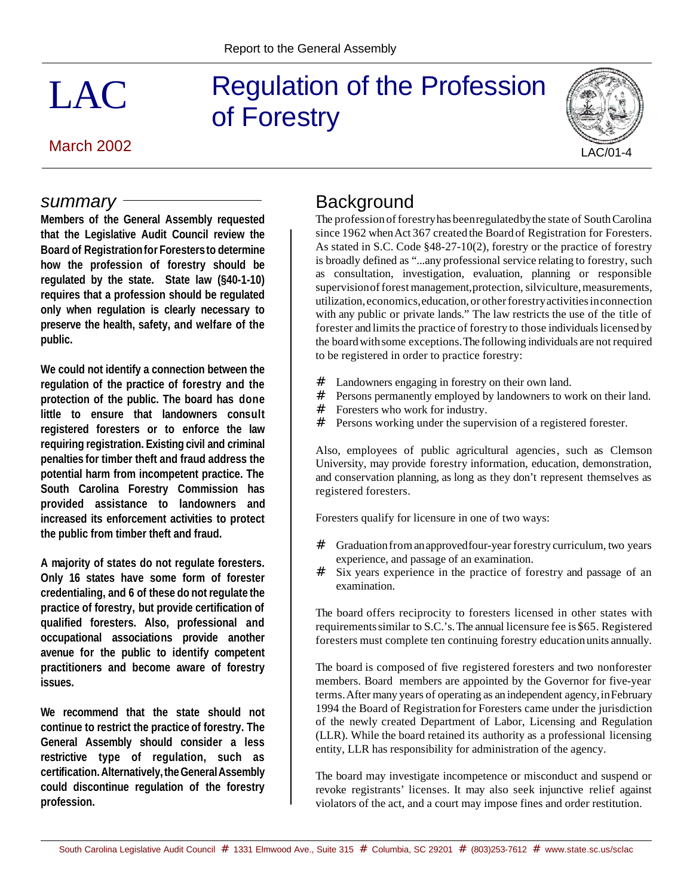# Regulation of the Profession of Forestry

### March 2002

*summary*

LAC



# **Background**

The profession of forestry has been regulated by the state of South Carolina since 1962 when Act 367 created the Board of Registration for Foresters. As stated in S.C. Code §48-27-10(2), forestry or the practice of forestry is broadly defined as "...any professional service relating to forestry, such as consultation, investigation, evaluation, planning or responsible supervision of forest management, protection, silviculture, measurements, utilization, economics,education,or otherforestryactivitiesinconnection with any public or private lands." The law restricts the use of the title of forester and limits the practice of forestry to those individuals licensed by the boardwithsome exceptions.The following individuals are not required to be registered in order to practice forestry:

- # Landowners engaging in forestry on their own land.<br># Persons permanently employed by landowners to w
- Persons permanently employed by landowners to work on their land.
- # Foresters who work for industry.<br># Persons working under the super
- Persons working under the supervision of a registered forester.

Also, employees of public agricultural agencies, such as Clemson University, may provide forestry information, education, demonstration, and conservation planning, as long as they don't represent themselves as registered foresters.

Foresters qualify for licensure in one of two ways:

- # Graduation from an approved four-year forestry curriculum, two years experience, and passage of an examination.
- # Six years experience in the practice of forestry and passage of an examination.

The board offers reciprocity to foresters licensed in other states with requirementssimilar to S.C.'s.The annual licensure fee is \$65. Registered foresters must complete ten continuing forestry educationunits annually.

The board is composed of five registered foresters and two nonforester members. Board members are appointed by the Governor for five-year terms.After many years of operating as an independent agency,inFebruary 1994 the Board of Registration for Foresters came under the jurisdiction of the newly created Department of Labor, Licensing and Regulation (LLR). While the board retained its authority as a professional licensing entity, LLR has responsibility for administration of the agency.

The board may investigate incompetence or misconduct and suspend or revoke registrants' licenses. It may also seek injunctive relief against violators of the act, and a court may impose fines and order restitution.

**requires that a profession should be regulated only when regulation is clearly necessary to preserve the health, safety, and welfare of the public. We could not identify a connection between the regulation of the practice of forestry and the protection of the public. The board has done little to ensure that landowners consult registered foresters or to enforce the law**

**Members of the General Assembly requested that the Legislative Audit Council review the Board of Registrationfor Forestersto determine how the profession of forestry should be regulated by the state. State law (§40-1-10)**

**requiring registration. Existing civil and criminal penalties for timber theft and fraud address the potential harm from incompetent practice. The South Carolina Forestry Commission has provided assistance to landowners and increased its enforcement activities to protect the public from timber theft and fraud.** 

**A majority of states do not regulate foresters. Only 16 states have some form of forester credentialing, and 6 of these do not regulate the practice of forestry, but provide certification of qualified foresters. Also, professional and occupational associations provide another avenue for the public to identify competent practitioners and become aware of forestry issues.** 

**We recommend that the state should not continue to restrict the practice of forestry. The General Assembly should consider a less restrictive type of regulation, such as certification.Alternatively,theGeneralAssembly could discontinue regulation of the forestry profession.**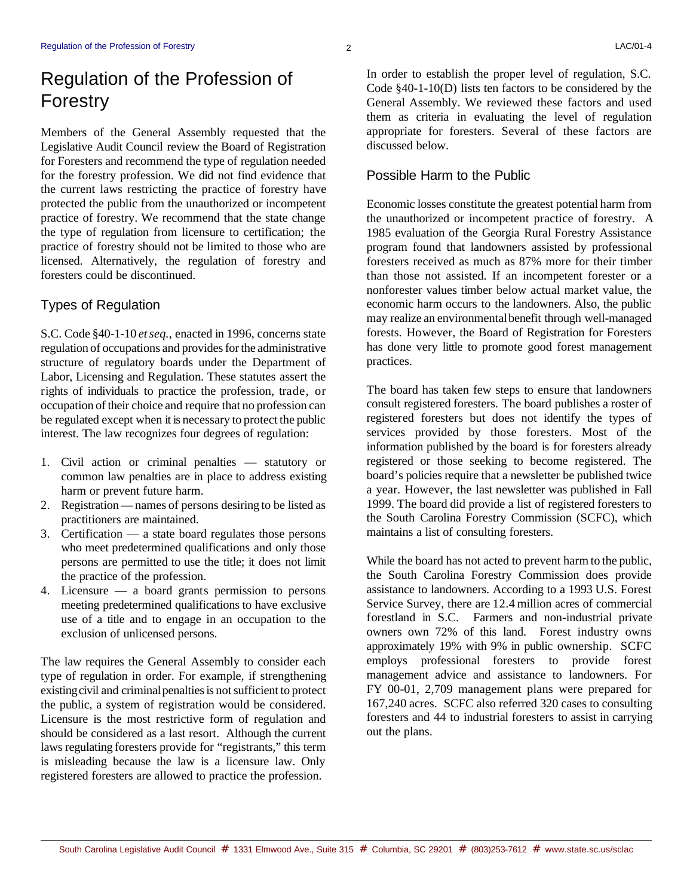# Regulation of the Profession of Forestry

Members of the General Assembly requested that the Legislative Audit Council review the Board of Registration for Foresters and recommend the type of regulation needed for the forestry profession. We did not find evidence that the current laws restricting the practice of forestry have protected the public from the unauthorized or incompetent practice of forestry. We recommend that the state change the type of regulation from licensure to certification; the practice of forestry should not be limited to those who are licensed. Alternatively, the regulation of forestry and foresters could be discontinued.

#### Types of Regulation

S.C. Code §40-1-10 *et seq.*, enacted in 1996, concerns state regulation of occupations and provides for the administrative structure of regulatory boards under the Department of Labor, Licensing and Regulation. These statutes assert the rights of individuals to practice the profession, trade, or occupation of their choice and require that no profession can be regulated except when it is necessary to protect the public interest. The law recognizes four degrees of regulation:

- 1. Civil action or criminal penalties statutory or common law penalties are in place to address existing harm or prevent future harm.
- 2. Registration— names of persons desiring to be listed as practitioners are maintained.
- 3. Certification a state board regulates those persons who meet predetermined qualifications and only those persons are permitted to use the title; it does not limit the practice of the profession.
- 4. Licensure a board grants permission to persons meeting predetermined qualifications to have exclusive use of a title and to engage in an occupation to the exclusion of unlicensed persons.

The law requires the General Assembly to consider each type of regulation in order. For example, if strengthening existing civil and criminal penalties is not sufficient to protect the public, a system of registration would be considered. Licensure is the most restrictive form of regulation and should be considered as a last resort. Although the current laws regulating foresters provide for "registrants," this term is misleading because the law is a licensure law. Only registered foresters are allowed to practice the profession.

In order to establish the proper level of regulation, S.C. Code §40-1-10(D) lists ten factors to be considered by the General Assembly. We reviewed these factors and used them as criteria in evaluating the level of regulation appropriate for foresters. Several of these factors are discussed below.

#### Possible Harm to the Public

Economic losses constitute the greatest potential harm from the unauthorized or incompetent practice of forestry. A 1985 evaluation of the Georgia Rural Forestry Assistance program found that landowners assisted by professional foresters received as much as 87% more for their timber than those not assisted. If an incompetent forester or a nonforester values timber below actual market value, the economic harm occurs to the landowners. Also, the public may realize an environmentalbenefit through well-managed forests. However, the Board of Registration for Foresters has done very little to promote good forest management practices.

The board has taken few steps to ensure that landowners consult registered foresters. The board publishes a roster of registered foresters but does not identify the types of services provided by those foresters. Most of the information published by the board is for foresters already registered or those seeking to become registered. The board's policies require that a newsletter be published twice a year. However, the last newsletter was published in Fall 1999. The board did provide a list of registered foresters to the South Carolina Forestry Commission (SCFC), which maintains a list of consulting foresters.

While the board has not acted to prevent harm to the public, the South Carolina Forestry Commission does provide assistance to landowners. According to a 1993 U.S. Forest Service Survey, there are 12.4 million acres of commercial forestland in S.C. Farmers and non-industrial private owners own 72% of this land. Forest industry owns approximately 19% with 9% in public ownership. SCFC employs professional foresters to provide forest management advice and assistance to landowners. For FY 00-01, 2,709 management plans were prepared for 167,240 acres. SCFC also referred 320 cases to consulting foresters and 44 to industrial foresters to assist in carrying out the plans.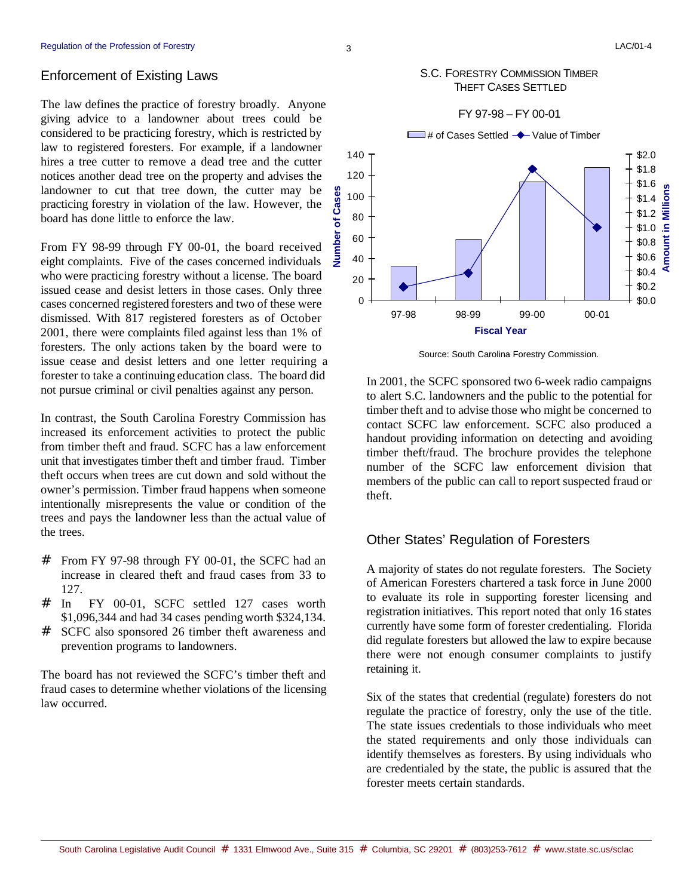#### Enforcement of Existing Laws

The law defines the practice of forestry broadly. Anyone giving advice to a landowner about trees could be considered to be practicing forestry, which is restricted by law to registered foresters. For example, if a landowner hires a tree cutter to remove a dead tree and the cutter notices another dead tree on the property and advises the landowner to cut that tree down, the cutter may be practicing forestry in violation of the law. However, the board has done little to enforce the law.

From FY 98-99 through FY 00-01, the board received eight complaints. Five of the cases concerned individuals who were practicing forestry without a license. The board issued cease and desist letters in those cases. Only three cases concerned registered foresters and two of these were dismissed. With 817 registered foresters as of October 2001, there were complaints filed against less than 1% of foresters. The only actions taken by the board were to issue cease and desist letters and one letter requiring a forester to take a continuing education class. The board did not pursue criminal or civil penalties against any person.

In contrast, the South Carolina Forestry Commission has increased its enforcement activities to protect the public from timber theft and fraud. SCFC has a law enforcement unit that investigates timber theft and timber fraud. Timber theft occurs when trees are cut down and sold without the owner's permission. Timber fraud happens when someone intentionally misrepresents the value or condition of the trees and pays the landowner less than the actual value of the trees.

- # From FY 97-98 through FY 00-01, the SCFC had an increase in cleared theft and fraud cases from 33 to 127.
- # In FY 00-01, SCFC settled 127 cases worth \$1,096,344 and had 34 cases pending worth \$324,134.
- # SCFC also sponsored 26 timber theft awareness and prevention programs to landowners.

The board has not reviewed the SCFC's timber theft and fraud cases to determine whether violations of the licensing law occurred.

#### S.C. FORESTRY COMMISSION TIMBER THEFT CASES SETTLED



Source: South Carolina Forestry Commission.

In 2001, the SCFC sponsored two 6-week radio campaigns to alert S.C. landowners and the public to the potential for timber theft and to advise those who might be concerned to contact SCFC law enforcement. SCFC also produced a handout providing information on detecting and avoiding timber theft/fraud. The brochure provides the telephone number of the SCFC law enforcement division that members of the public can call to report suspected fraud or theft.

#### Other States' Regulation of Foresters

A majority of states do not regulate foresters. The Society of American Foresters chartered a task force in June 2000 to evaluate its role in supporting forester licensing and registration initiatives. This report noted that only 16 states currently have some form of forester credentialing. Florida did regulate foresters but allowed the law to expire because there were not enough consumer complaints to justify retaining it.

Six of the states that credential (regulate) foresters do not regulate the practice of forestry, only the use of the title. The state issues credentials to those individuals who meet the stated requirements and only those individuals can identify themselves as foresters. By using individuals who are credentialed by the state, the public is assured that the forester meets certain standards.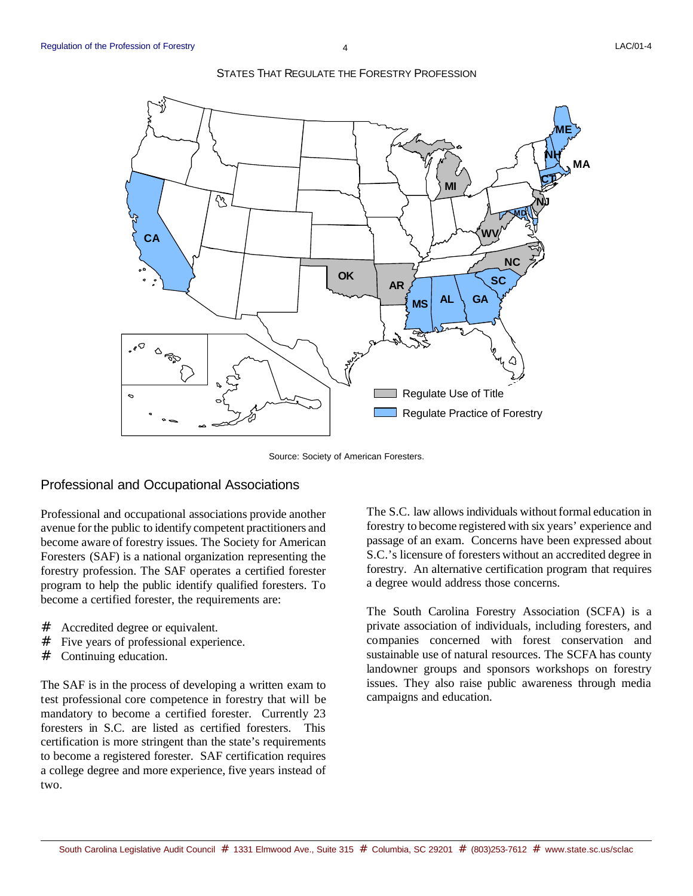

#### STATES THAT REGULATE THE FORESTRY PROFESSION

Source: Society of American Foresters.

#### Professional and Occupational Associations

Professional and occupational associations provide another avenue for the public to identify competent practitioners and become aware of forestry issues. The Society for American Foresters (SAF) is a national organization representing the forestry profession. The SAF operates a certified forester program to help the public identify qualified foresters. To become a certified forester, the requirements are:

- # Accredited degree or equivalent.
- # Five years of professional experience.
- # Continuing education.

The SAF is in the process of developing a written exam to test professional core competence in forestry that will be mandatory to become a certified forester. Currently 23 foresters in S.C. are listed as certified foresters. This certification is more stringent than the state's requirements to become a registered forester. SAF certification requires a college degree and more experience, five years instead of two.

The S.C. law allows individuals without formal education in forestry to become registered with six years' experience and passage of an exam. Concerns have been expressed about S.C.'s licensure of foresters without an accredited degree in forestry. An alternative certification program that requires a degree would address those concerns.

The South Carolina Forestry Association (SCFA) is a private association of individuals, including foresters, and companies concerned with forest conservation and sustainable use of natural resources. The SCFA has county landowner groups and sponsors workshops on forestry issues. They also raise public awareness through media campaigns and education.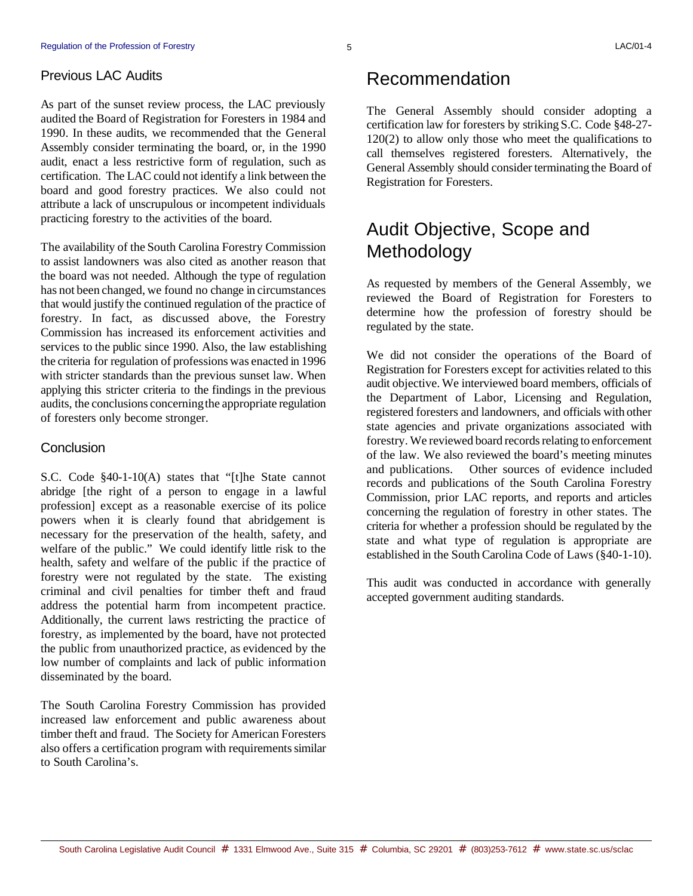#### Previous LAC Audits

As part of the sunset review process, the LAC previously audited the Board of Registration for Foresters in 1984 and 1990. In these audits, we recommended that the General Assembly consider terminating the board, or, in the 1990 audit, enact a less restrictive form of regulation, such as certification. The LAC could not identify a link between the board and good forestry practices. We also could not attribute a lack of unscrupulous or incompetent individuals practicing forestry to the activities of the board.

The availability of the South Carolina Forestry Commission to assist landowners was also cited as another reason that the board was not needed. Although the type of regulation has not been changed, we found no change in circumstances that would justify the continued regulation of the practice of forestry. In fact, as discussed above, the Forestry Commission has increased its enforcement activities and services to the public since 1990. Also, the law establishing the criteria for regulation of professions was enacted in 1996 with stricter standards than the previous sunset law. When applying this stricter criteria to the findings in the previous audits, the conclusions concerningthe appropriate regulation of foresters only become stronger.

#### **Conclusion**

S.C. Code §40-1-10(A) states that "[t]he State cannot abridge [the right of a person to engage in a lawful profession] except as a reasonable exercise of its police powers when it is clearly found that abridgement is necessary for the preservation of the health, safety, and welfare of the public." We could identify little risk to the health, safety and welfare of the public if the practice of forestry were not regulated by the state. The existing criminal and civil penalties for timber theft and fraud address the potential harm from incompetent practice. Additionally, the current laws restricting the practice of forestry, as implemented by the board, have not protected the public from unauthorized practice, as evidenced by the low number of complaints and lack of public information disseminated by the board.

The South Carolina Forestry Commission has provided increased law enforcement and public awareness about timber theft and fraud. The Society for American Foresters also offers a certification program with requirements similar to South Carolina's.

### Recommendation

The General Assembly should consider adopting a certification law for foresters by striking S.C. Code §48-27- 120(2) to allow only those who meet the qualifications to call themselves registered foresters. Alternatively, the General Assembly should consider terminating the Board of Registration for Foresters.

# Audit Objective, Scope and Methodology

As requested by members of the General Assembly, we reviewed the Board of Registration for Foresters to determine how the profession of forestry should be regulated by the state.

We did not consider the operations of the Board of Registration for Foresters except for activities related to this audit objective. We interviewed board members, officials of the Department of Labor, Licensing and Regulation, registered foresters and landowners, and officials with other state agencies and private organizations associated with forestry. We reviewed board records relating to enforcement of the law. We also reviewed the board's meeting minutes and publications. Other sources of evidence included records and publications of the South Carolina Forestry Commission, prior LAC reports, and reports and articles concerning the regulation of forestry in other states. The criteria for whether a profession should be regulated by the state and what type of regulation is appropriate are established in the South Carolina Code of Laws (§40-1-10).

This audit was conducted in accordance with generally accepted government auditing standards.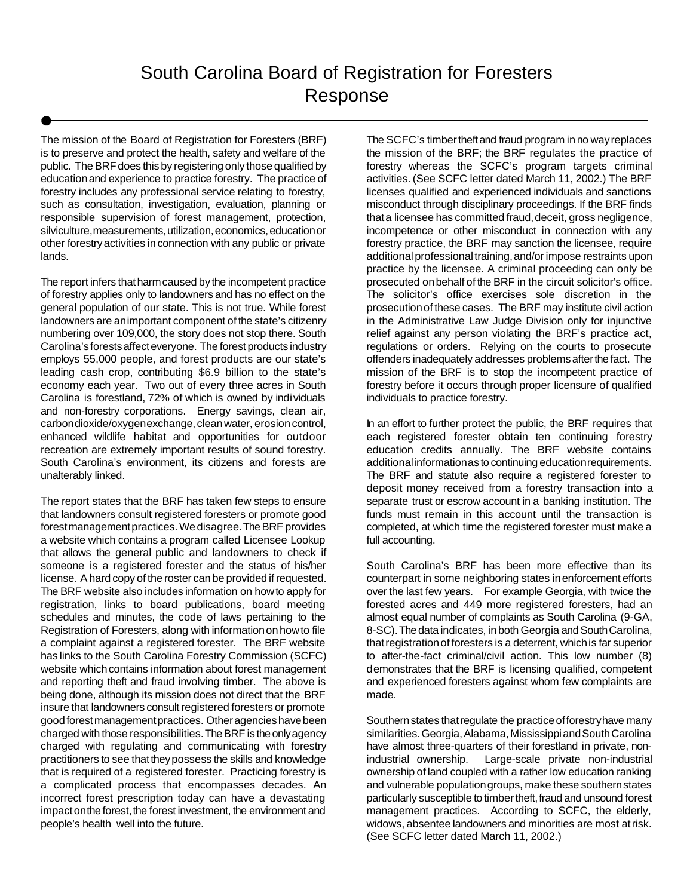The mission of the Board of Registration for Foresters (BRF) is to preserve and protect the health, safety and welfare of the public. The BRF does this by registering only those qualified by educationand experience to practice forestry. The practice of forestry includes any professional service relating to forestry, such as consultation, investigation, evaluation, planning or responsible supervision of forest management, protection, silviculture,measurements, utilization, economics, education or other forestryactivities in connection with any public or private lands.

The report infers thatharmcaused by the incompetent practice of forestry applies only to landowners and has no effect on the general population of our state. This is not true. While forest landowners are animportant component of the state's citizenry numbering over 109,000, the story does not stop there. South Carolina'sforestsaffecteveryone. The forest products industry employs 55,000 people, and forest products are our state's leading cash crop, contributing \$6.9 billion to the state's economy each year. Two out of every three acres in South Carolina is forestland, 72% of which is owned by individuals and non-forestry corporations. Energy savings, clean air, carbondioxide/oxygenexchange, clean water, erosion control, enhanced wildlife habitat and opportunities for outdoor recreation are extremely important results of sound forestry. South Carolina's environment, its citizens and forests are unalterably linked.

The report states that the BRF has taken few steps to ensure that landowners consult registered foresters or promote good forestmanagementpractices.Wedisagree.TheBRF provides a website which contains a program called Licensee Lookup that allows the general public and landowners to check if someone is a registered forester and the status of his/her license. A hard copy of the roster can be provided if requested. The BRF website also includes information on howto apply for registration, links to board publications, board meeting schedules and minutes, the code of laws pertaining to the Registration of Foresters, along with informationonhowto file a complaint against a registered forester. The BRF website has links to the South Carolina Forestry Commission (SCFC) website which contains information about forest management and reporting theft and fraud involving timber. The above is being done, although its mission does not direct that the BRF insure that landowners consult registered foresters or promote goodforestmanagementpractices. Other agencies have been charged with those responsibilities.TheBRF is the onlyagency charged with regulating and communicating with forestry practitioners to see thattheypossess the skills and knowledge that is required of a registered forester. Practicing forestry is a complicated process that encompasses decades. An incorrect forest prescription today can have a devastating impact on the forest, the forest investment, the environment and people's health well into the future.

The SCFC's timbertheftand fraud program in no wayreplaces the mission of the BRF; the BRF regulates the practice of forestry whereas the SCFC's program targets criminal activities. (See SCFC letter dated March 11, 2002.) The BRF licenses qualified and experienced individuals and sanctions misconduct through disciplinary proceedings. If the BRF finds that a licensee has committed fraud, deceit, gross negligence, incompetence or other misconduct in connection with any forestry practice, the BRF may sanction the licensee, require additional professional training, and/or impose restraints upon practice by the licensee. A criminal proceeding can only be prosecuted onbehalf of the BRF in the circuit solicitor's office. The solicitor's office exercises sole discretion in the prosecutionof these cases. The BRF may institute civil action in the Administrative Law Judge Division only for injunctive relief against any person violating the BRF's practice act, regulations or orders. Relying on the courts to prosecute offenders inadequately addresses problemsafterthe fact. The mission of the BRF is to stop the incompetent practice of forestry before it occurs through proper licensure of qualified individuals to practice forestry.

In an effort to further protect the public, the BRF requires that each registered forester obtain ten continuing forestry education credits annually. The BRF website contains additionalinformationas to continuing educationrequirements. The BRF and statute also require a registered forester to deposit money received from a forestry transaction into a separate trust or escrow account in a banking institution. The funds must remain in this account until the transaction is completed, at which time the registered forester must make a full accounting.

South Carolina's BRF has been more effective than its counterpart in some neighboring states inenforcement efforts over the last few years. For example Georgia, with twice the forested acres and 449 more registered foresters, had an almost equal number of complaints as South Carolina (9-GA, 8-SC). The data indicates, in both Georgia and South Carolina, thatregistrationof foresters is a deterrent, whichis far superior to after-the-fact criminal/civil action. This low number (8) demonstrates that the BRF is licensing qualified, competent and experienced foresters against whom few complaints are made.

Southern states that regulate the practice of forestry have many similarities. Georgia, Alabama, Mississippi and South Carolina have almost three-quarters of their forestland in private, nonindustrial ownership. Large-scale private non-industrial ownership of land coupled with a rather low education ranking and vulnerable populationgroups, make these southernstates particularly susceptible to timber theft, fraud and unsound forest management practices. According to SCFC, the elderly, widows, absentee landowners and minorities are most atrisk. (See SCFC letter dated March 11, 2002.)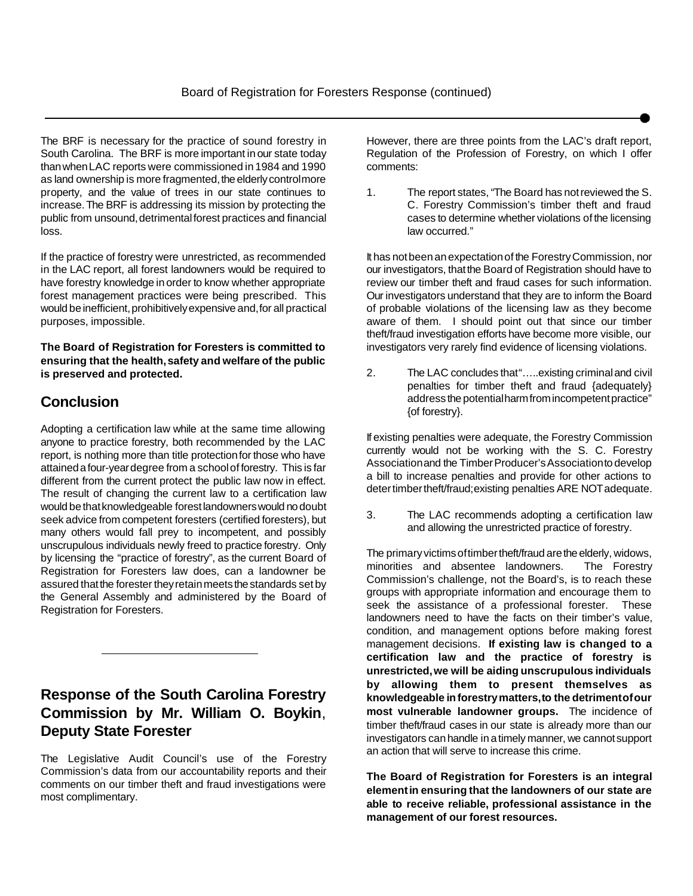The BRF is necessary for the practice of sound forestry in South Carolina. The BRF is more important in our state today thanwhenLAC reports were commissioned in 1984 and 1990 as land ownership is more fragmented, the elderly controlmore property, and the value of trees in our state continues to increase.The BRF is addressing its mission by protecting the public from unsound, detrimental forest practices and financial loss.

If the practice of forestry were unrestricted, as recommended in the LAC report, all forest landowners would be required to have forestry knowledge in order to know whether appropriate forest management practices were being prescribed. This would be inefficient, prohibitively expensive and, for all practical purposes, impossible.

**The Board of Registration for Foresters is committed to ensuring that the health,safety and welfare of the public is preserved and protected.**

### **Conclusion**

Adopting a certification law while at the same time allowing anyone to practice forestry, both recommended by the LAC report, is nothing more than title protectionfor those who have attainedafour-yeardegree from a schoolof forestry. This is far different from the current protect the public law now in effect. The result of changing the current law to a certification law would be that knowledgeable forest landowners would no doubt seek advice from competent foresters (certified foresters), but many others would fall prey to incompetent, and possibly unscrupulous individuals newly freed to practice forestry. Only by licensing the "practice of forestry", as the current Board of Registration for Foresters law does, can a landowner be assured that the forester they retain meets the standards set by the General Assembly and administered by the Board of Registration for Foresters.

### **Response of the South Carolina Forestry Commission by Mr. William O. Boykin**, **Deputy State Forester**

The Legislative Audit Council's use of the Forestry Commission's data from our accountability reports and their comments on our timber theft and fraud investigations were most complimentary.

However, there are three points from the LAC's draft report, Regulation of the Profession of Forestry, on which I offer comments:

1. The report states, "The Board has notreviewed the S. C. Forestry Commission's timber theft and fraud cases to determine whether violations of the licensing law occurred."

It has notbeenanexpectationof the ForestryCommission, nor our investigators, thatthe Board of Registration should have to review our timber theft and fraud cases for such information. Our investigators understand that they are to inform the Board of probable violations of the licensing law as they become aware of them. I should point out that since our timber theft/fraud investigation efforts have become more visible, our investigators very rarely find evidence of licensing violations.

2. The LAC concludes that"…..existing criminaland civil penalties for timber theft and fraud {adequately} address the potentialharm from incompetent practice" {of forestry}.

If existing penalties were adequate, the Forestry Commission currently would not be working with the S. C. Forestry Association and the Timber Producer's Association to develop a bill to increase penalties and provide for other actions to deter timber theft/fraud; existing penalties ARE NOT adequate.

3. The LAC recommends adopting a certification law and allowing the unrestricted practice of forestry.

The primary victims of timber theft/fraud are the elderly, widows, minorities and absentee landowners. The Forestry Commission's challenge, not the Board's, is to reach these groups with appropriate information and encourage them to seek the assistance of a professional forester. These landowners need to have the facts on their timber's value, condition, and management options before making forest management decisions. **If existing law is changed to a certification law and the practice of forestry is unrestricted,we will be aiding unscrupulous individuals by allowing them to present themselves as knowledgeable inforestrymatters,to the detrimentofour most vulnerable landowner groups.** The incidence of timber theft/fraud cases in our state is already more than our investigators can handle in a timely manner, we cannot support an action that will serve to increase this crime.

**The Board of Registration for Foresters is an integral elementin ensuring that the landowners of our state are able to receive reliable, professional assistance in the management of our forest resources.**